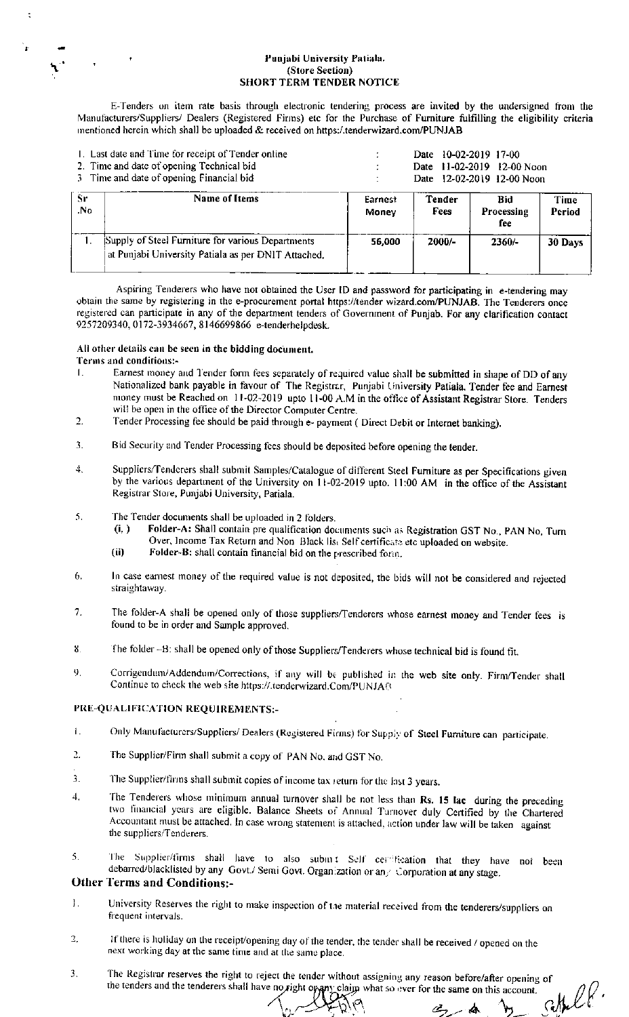#### Punjabi University Patiala. (Store Section) **SHORT TERM TENDER NOTICE**

E-Tenders on item rate basis through electronic tendering process are invited by the undersigned from the Manufacturers/Suppliers/ Dealers (Registered Firms) etc for the Purchase of Furniture fulfilling the eligibility criteria mentioned herein which shall be uploaded & received on https:/.tenderwizard.com/PUNJAB

|            | 1. Last date and Time for receipt of Tender online<br>2. Time and date of opening Technical bid<br>3 Time and date of opening Financial bid | 10-02-2019 17-00<br>Date<br>$11-02-2019$ 12-00 Noon<br>Date<br>Date 12-02-2019 12-00 Noon |                |                          |                |
|------------|---------------------------------------------------------------------------------------------------------------------------------------------|-------------------------------------------------------------------------------------------|----------------|--------------------------|----------------|
| -Sr<br>.No | Name of Items                                                                                                                               | Earnest<br>Money                                                                          | Tender<br>Fees | Bid<br>Processing<br>fee | Time<br>Period |
|            | Supply of Steel Furniture for various Departments<br>at Punjabi University Patiala as per DNIT Attached.                                    | 56.000                                                                                    | 2000/-         | $2360/-$                 | 30 Days        |

Aspiring Tenderers who have not obtained the User ID and password for participating in e-tendering may obtain the same by registering in the e-procurement portal https://tender wizard.com/PUNJAB. The Tenderers once registered can participate in any of the department tenders of Government of Punjab. For any clarification contact 9257209340, 0172-3934667, 8146699866 e-tenderhelpdesk.

#### All other details can be seen in the bidding document.

### Terms and conditions:-

- Earnest money and Tender form fees separately of required value shall be submitted in shape of DD of any  $\mathbf{I}$ . Nationalized bank payable in favour of The Registrar, Punjabi University Patiala. Tender fee and Earnest money must be Reached on 11-02-2019 upto 11-00 A.M in the office of Assistant Registrar Store. Tenders will be open in the office of the Director Computer Centre.
- Tender Processing fee should be paid through e- payment ( Direct Debit or Internet banking).  $2.$
- Bid Security and Tender Processing fees should be deposited before opening the tender. 3.
- 4. Suppliers/Tenderers shall submit Samples/Catalogue of different Steel Furniture as per Specifications given by the various department of the University on  $11-02-2019$  upto. 11:00 AM in the office of the Assistant Registrar Store, Punjabi University, Patiala.
- The Tender documents shall be uploaded in 2 folders. 5.
	- Folder-A: Shall contain pre qualification documents such as Registration GST No., PAN No, Turn  $(i, )$ Over, Income Tax Return and Non-Black list Self certificate etc uploaded on website.
	- Folder-B: shall contain financial bid on the prescribed form.  $(ii)$
- In case earnest money of the required value is not deposited, the bids will not be considered and rejected 6. straightaway.
- $7<sub>1</sub>$ The folder-A shall be opened only of those suppliers/Tenderers whose earnest money and Tender fees is found to be in order and Sample approved.
- 8. The folder -B: shall be opened only of those Suppliers/Tenderers whose technical bid is found fit.
- 9. Corrigendum/Addendum/Corrections, if any will be published in the web site only. Firm/Tender shall Continue to check the web site https://.tenderwizard.Com/PUNJAB

#### PRE-QUALIFICATION REQUIREMENTS:-

- Only Manufacturers/Suppliers/ Dealers (Registered Firms) for Supply of Steel Furniture can participate.  $\mathbf{L}$
- $\mathcal{L}$ The Supplier/Firm shall submit a copy of PAN No. and GST No.
- The Supplier/firms shall submit copies of income tax return for the last 3 years.  $\mathbf{3}$
- The Tenderers whose minimum annual turnover shall be not less than Rs. 15 lac during the preceding  $\boldsymbol{4}$ . two financial years are eligible. Balance Sheets of Annual Turnover duly Certified by the Chartered Accountant must be attached. In case wrong statement is attached, action under law will be taken against the suppliers/Tenderers.
- The Supplier/firms shall have to also subint Self certification that they have not been 5. debarred/blacklisted by any Govt./ Semi Govt. Organization or any Corporation at any stage.

## **Other Terms and Conditions:-**

- $\mathbf{1}$ . University Reserves the right to make inspection of the material received from the tenderers/suppliers on frequent intervals.
- If there is holiday on the receipt/opening day of the tender, the tender shall be received / opened on the  $\overline{2}$ . next working day at the same time and at the same place.
- The Registrar reserves the right to reject the tender without assigning any reason before/after opening of 3. settel P. the tenders and the tenderers shall have no right or any claim what so ever for the same on this account.

Æ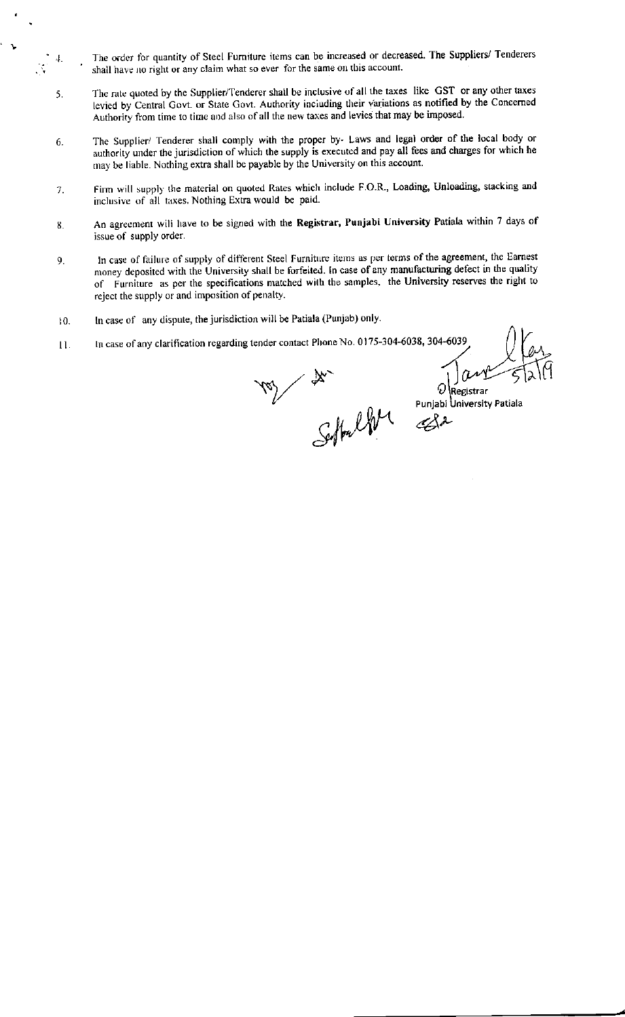- The order for quantity of Steel Furniture items can be increased or decreased. The Suppliers/ Tenderers shall have no right or any claim what so ever for the same on this account.
- The rate quoted by the Supplier/Tenderer shall be inclusive of all the taxes like GST or any other taxes 5. levied by Central Govt. or State Govt. Authority including their variations as notified by the Concerned Authority from time to time and also of all the new taxes and levies that may be imposed.
- The Supplier/ Tenderer shall comply with the proper by- Laws and legal order of the local body or 6. authority under the jurisdiction of which the supply is executed and pay all fees and charges for which he may be liable. Nothing extra shall be payable by the University on this account.
- Firm will supply the material on quoted Rates which include F.O.R., Loading, Unloading, stacking and 7. inclusive of all taxes. Nothing Extra would be paid.
- An agreement will have to be signed with the Registrar, Punjabi University Patiala within 7 days of 8 issue of supply order.
- In case of failure of supply of different Steel Furniture items as per terms of the agreement, the Earnest 9. money deposited with the University shall be forfeited. In case of any manufacturing defect in the quality of Furniture as per the specifications matched with the samples, the University reserves the right to reject the supply or and imposition of penalty.
- In case of any dispute, the jurisdiction will be Patiala (Punjab) only.  $10.$

 $\frac{1}{\sqrt{2}}$  $\ddot{+}$ 

> In case of any clarification regarding tender contact Phone No. 0175-304-6038, 304-6039 11.

VOY de Charles de Charles Charles de Charles de Charles de Charles de Charles de Charles de Charles de Charles de Charles de Charles de Charles de Charles de Charles de Charles de Charles de Charles de Charles de Charles d